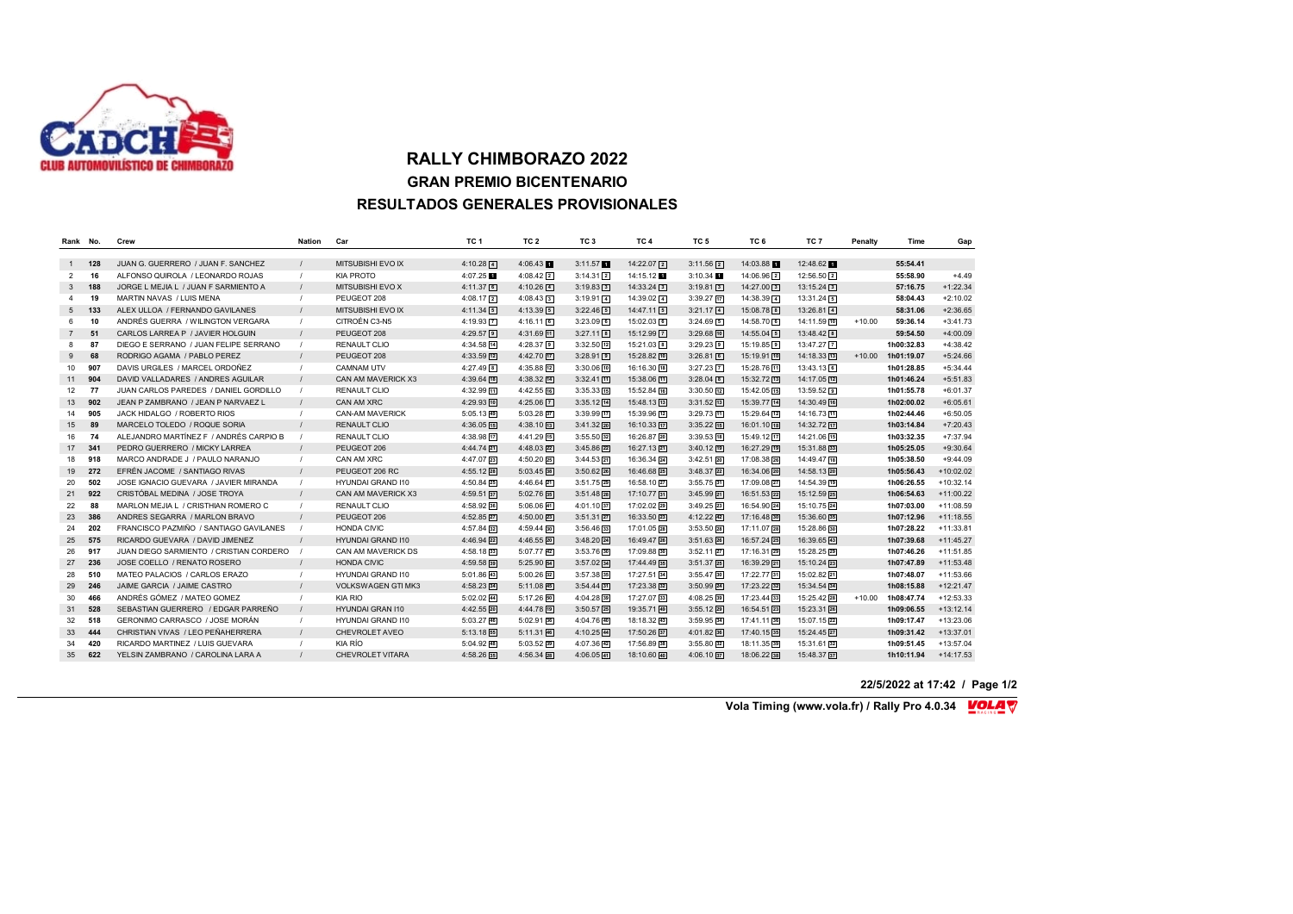

## **RALLY CHIMBORAZO 2022 GRAN PREMIO BICENTENARIO RESULTADOS GENERALES PROVISIONALES**

| Rank No.       |     | Crew                                    | Nation | Car                       | TC <sub>1</sub>         | TC 2                    | TC <sub>3</sub>         | TC <sub>4</sub> | TC <sub>5</sub>          | TC <sub>6</sub> | TC 7            | Penalty  | Time       | Gap         |
|----------------|-----|-----------------------------------------|--------|---------------------------|-------------------------|-------------------------|-------------------------|-----------------|--------------------------|-----------------|-----------------|----------|------------|-------------|
|                |     |                                         |        |                           |                         |                         |                         |                 |                          |                 |                 |          |            |             |
| $\overline{1}$ | 128 | JUAN G. GUERRERO / JUAN F. SANCHEZ      |        | MITSUBISHI EVO IX         | $4:10.28$ 4             | $4:06.43$ 1             | 3:11.57                 | $14:22.07$ 2    | $3:11.56$ <sup>2</sup>   | 14:03.88        | 12:48.62        |          | 55:54.41   |             |
| $\overline{2}$ | 16  | ALFONSO QUIROLA / LEONARDO ROJAS        |        | <b>KIA PROTO</b>          | 4:07.25                 | $4:08.42$  2            | $3:14.31$   2           | 14:15.12        | $3:10.34$ $\blacksquare$ | 14:06.96 2      | 12:56.50 2      |          | 55:58.90   | $+4.49$     |
| 3              | 188 | JORGE L MEJIA L / JUAN F SARMIENTO A    |        | MITSUBISHI EVO X          | $4:11.37$ 6             | $4:10.26$ 4             | $3:19.83$ 3             | $14:33.24$ 3    | $3:19.81$ 3              | 14:27.00 3      | $13:15.24$ 3    |          | 57:16.75   | $+1:22.34$  |
| $\overline{4}$ | 19  | MARTIN NAVAS / LUIS MENA                |        | PEUGEOT 208               | $4:08.17$ <sup>2</sup>  | $4:08.43$ 3             | $3:19.91\sqrt{4}$       | 14:39.02        | $3:39.27$ [17]           | 14:38.39 4      | $13:31.24$ 5    |          | 58:04.43   | $+2:10.02$  |
| 5              | 133 | ALEX ULLOA / FERNANDO GAVILANES         |        | MITSUBISHI EVO IX         | $4:11.34$ 5             | $4:13.39$ 5             | $3:22.46$ 5             | $14:47.11$ 5    | $3:21.17$ 4              | 15:08.78 8      | $13:26.81$ 4    |          | 58:31.06   | $+2:36.65$  |
| 6              | 10  | ANDRÉS GUERRA / WILINGTON VERGARA       |        | CITROÉN C3-N5             | 4:19.93 7               | $4:16.11$ 6             | $3:23.09$ 6             | 15:02.03 6      | $3:24.69$ 5              | 14:58.70 6      | 14:11.59 10     | $+10.00$ | 59:36.14   | $+3:41.73$  |
| $\overline{7}$ | 51  | CARLOS LARREA P / JAVIER HOLGUIN        |        | PEUGEOT 208               | $4:29.57$ 9             | $4:31.69$ 11            | $3:27.11$ $8$           | 15:12.99 7      | $3:29.68$ 10             | $14:55.04$ 5    | $13:48.42$ 8    |          | 59:54.50   | $+4:00.09$  |
| 8              | 87  | DIEGO E SERRANO / JUAN FELIPE SERRANO   |        | <b>RENAULT CLIO</b>       | 4:34.58 14              | $4:28.37$ 9             | 3:32.50 12              | 15:21.03 8      | $3:29.23$ 9              | 15:19.85        | 13:47.27 7      |          | 1h00:32.83 | $+4:38.42$  |
| 9              | 68  | RODRIGO AGAMA / PABLO PEREZ             |        | PEUGEOT 208               | $4:33.59$ $\sqrt{12}$   | 4:42.70 17              | $3:28.91$ 9             | 15:28.82 10     | $3:26.81$ 6              | 15:19.91 10     | $14:18.33$ [13] | $+10.00$ | 1h01:19.07 | $+5:24.66$  |
| 10             | 907 | DAVIS URGILES / MARCEL ORDOÑEZ          |        | CAMNAM UTV                | $4:27.49$ 8             | 4:35.88 12              | $3:30.06$ $10$          | 16:16.30 18     | $3:27.23$ $\boxed{7}$    | 15:28.76 [11]   | $13:43.13$ 6    |          | 1h01:28.85 | $+5:34.44$  |
| 11             | 904 | DAVID VALLADARES / ANDRES AGUILAR       |        | CAN AM MAVERICK X3        | $4:39.64$ 18            | $4:38.32$ $14$          | $3:32.41$ 11            | 15:38.06 11     | $3:28.04$ 3              | 15:32.72 13     | 14:17.05 12     |          | 1h01:46.24 | $+5:51.83$  |
| 12             | 77  | JUAN CARLOS PAREDES / DANIEL GORDILLO   |        | <b>RENAULT CLIO</b>       | 4:32.99 11              | 4:42.55 16              | $3:35.33$ $15$          | 15:52.84 16     | $3:30.50$ $12$           | 15:42.05 15     | 13:59.52 9      |          | 1h01:55.78 | $+6:01.37$  |
| 13             | 902 | JEAN P ZAMBRANO / JEAN P NARVAEZ L      |        | CAN AM XRC                | 4:29.93 10              | $4:25.06$ $\boxed{7}$   | $3:35.12$ $14$          | $15:48.13$ 13   | $3:31.52$ [13]           | 15:39.77 14     | 14:30.49 16     |          | 1h02:00.02 | $+6:05.61$  |
| 14             | 905 | JACK HIDALGO / ROBERTO RIOS             |        | <b>CAN-AM MAVERICK</b>    | $5:05.13$ 49            | $5:03.28$ 37            | 3:39.99 17              | 15:39.96 12     | $3:29.73$ 11             | 15:29.64 12     | 14:16.73 11     |          | 1h02:44.46 | $+6:50.05$  |
| 15             | 89  | MARCELO TOLEDO / ROQUE SORIA            |        | <b>RENAULT CLIO</b>       | $4:36.05$ 15            | $4:38.10$ 13            | 3:41.32 20              | 16:10.33 17     | $3:35.22$ [15]           | 16:01.10 [18]   | 14:32.72 17     |          | 1h03:14.84 | $+7:20.43$  |
| 16             | 74  | ALEJANDRO MARTÍNEZ F / ANDRÉS CARPIO B  |        | <b>RENAULT CLIO</b>       | 4:38.98 17              | $4:41.29$ 15            | $3:55.50$ 32            | 16:26.87 20     | $3:39.53$ 18             | 15:49.12 17     | 14:21.06 15     |          | 1h03:32.35 | $+7:37.94$  |
| 17             | 341 | PEDRO GUERRERO / MICKY LARREA           |        | PEUGEOT 206               | 4:44.74 21              | $4:48.03$ <sub>22</sub> | 3:45.86 22              | 16:27.13 21     | $3:40.12$ 19             | 16:27.29 19     | 15:31.88 33     |          | 1h05:25.05 | $+9:30.64$  |
| 18             | 918 | MARCO ANDRADE J / PAULO NARANJO         |        | CAN AM XRC                | 4:47.07 23              | $4:50.20$ 25            | $3:44.53$ <sub>21</sub> | 16:36.34 24     | $3:42.51$ 20             | 17:08.38 26     | 14:49.47 18     |          | 1h05:38.50 | $+9:44.09$  |
| 19             | 272 | EFRÉN JACOME / SANTIAGO RIVAS           |        | PEUGEOT 206 RC            | 4:55.12 28              | $5:03.45$ 38            | $3:50.62$ <sub>26</sub> | 16:46.68 25     | $3:48.37$ $22$           | 16:34.06 20     | 14:58.13 20     |          | 1h05:56.43 | $+10:02.02$ |
| 20             | 502 | JOSE IGNACIO GUEVARA / JAVIER MIRANDA   |        | <b>HYUNDAI GRAND I10</b>  | 4:50.84 25              | $4:46.64$ 21            | $3:51.75$ <sub>29</sub> | 16:58.10 27     | $3:55.75$ 31             | 17:09.08 27     | 14:54.39 19     |          | 1h06:26.55 | $+10:32.14$ |
| 21             | 922 | CRISTÓBAL MEDINA / JOSE TROYA           |        | CAN AM MAVERICK X3        | 4:59.51 37              | $5:02.76$ 35            | $3:51.48$ 28            | 17:10.77 31     | $3:45.99$ 21             | 16:51.53 22     | 15:12.59 25     |          | 1h06:54.63 | $+11:00.22$ |
| 22             | 88  | MARLON MEJIA L / CRISTHIAN ROMERO C     |        | RENAULT CLIO              | 4:58.92 36              | $5:06.06$ 41            | $4:01.10$ 37            | 17:02.02 29     | $3:49.25$ 23             | 16:54.90 24     | 15:10.75 24     |          | 1h07:03.00 | $+11:08.59$ |
| 23             | 386 | ANDRES SEGARRA / MARLON BRAVO           |        | PEUGEOT 206               | 4:52.85 27              | $4:50.00$ 23            | $3:51.31$ $27$          | 16:33.50 23     | $4:12.22$ $42$           | 17:16.48 30     | 15:36.60 35     |          | 1h07:12.96 | $+11:18.55$ |
| 24             | 202 | FRANCISCO PAZMIÑO / SANTIAGO GAVILANES  |        | <b>HONDA CIVIC</b>        | 4:57.84 32              | $4:59.44$ 30            | $3:56.46$ 33            | 17:01.05 28     | $3:53.50$ 28             | 17:11.07 28     | 15:28.86 30     |          | 1h07:28.22 | $+11:33.81$ |
| 25             | 575 | RICARDO GUEVARA / DAVID JIMENEZ         |        | <b>HYUNDAI GRAND I10</b>  | 4:46.94 22              | 4:46.55 20              | $3:48.20$ 24            | 16:49.47 26     | $3:51.63$ <sub>26</sub>  | 16:57.24 25     | 16:39.65 43     |          | 1h07:39.68 | $+11:45.27$ |
| 26             | 917 | JUAN DIEGO SARMIENTO / CRISTIAN CORDERO |        | CAN AM MAVERICK DS        | $4:58.18$ 33            | 5:07.77 42              | 3:53.76 30              | 17:09.88 30     | $3:52.11$ $27$           | 17:16.31 29     | 15:28.25 29     |          | 1h07:46.26 | $+11:51.85$ |
| 27             | 236 | JOSE COELLO / RENATO ROSERO             |        | <b>HONDA CIVIC</b>        | $4:59.58$ <sub>39</sub> | $5:25.90$ 54            | 3:57.02 34              | 17:44.49 35     | $3:51.37$ 25             | 16:39.29 21     | $15:10.24$ 23   |          | 1h07:47.89 | $+11:53.48$ |
| 28             | 510 | MATEO PALACIOS / CARLOS ERAZO           |        | <b>HYUNDAI GRAND I10</b>  | $5:01.86$ 43            | $5:00.26$ 32            | $3:57.38$ 35            | 17:27.51 34     | $3:55.47$ 30             | 17:22.77 31     | 15:02.82 21     |          | 1h07:48.07 | $+11:53.66$ |
| 29             | 246 | JAIME GARCIA / JAIME CASTRO             |        | <b>VOLKSWAGEN GTI MK3</b> | 4:58.23 34              | $5:11.08$ 45            | $3:54.44$ 31            | 17:23.38 32     | 3:50.99 24               | 17:23.22 32     | 15:34.54 34     |          | 1h08:15.88 | $+12:21.47$ |
| 30             | 466 | ANDRÉS GÓMEZ / MATEO GOMEZ              |        | <b>KIA RIO</b>            | 5:02.02 44              | 5:17.26 50              | 4:04.28 39              | 17:27.07 33     | $4:08.25$ <sub>39</sub>  | 17:23.44 33     | 15:25.42 28     | $+10.00$ | 1h08:47.74 | $+12:53.33$ |
| 31             | 528 | SEBASTIAN GUERRERO / EDGAR PARREÑO      |        | <b>HYUNDAI GRAN I10</b>   | 4:42.55 20              | 4:44.78 19              | 3:50.57 25              | 19:35.71 49     | $3:55.12$ $29$           | 16:54.51 23     | 15:23.31 26     |          | 1h09:06.55 | $+13:12.14$ |
| 32             | 518 | GERONIMO CARRASCO / JOSE MORÁN          |        | <b>HYUNDAI GRAND I10</b>  | $5:03.27$ 46            | 5:02.91 36              | 4:04.76 40              | 18:18.32 43     | 3:59.95 34               | 17:41.11 36     | 15:07.15 22     |          | 1h09:17.47 | $+13:23.06$ |
| 33             | 444 | CHRISTIAN VIVAS / LEO PEÑAHERRERA       |        | CHEVROLET AVEO            | $5:13.18$ 55            | $5:11.31$ 46            | 4:10.25 44              | 17:50.26 37     | 4:01.82 36               | 17:40.15 35     | 15:24.45 27     |          | 1h09:31.42 | $+13:37.01$ |
| 34             | 420 | RICARDO MARTINEZ / LUIS GUEVARA         |        | KIA RÍO                   | 5:04.92 48              | 5:03.52 39              | 4:07.36 42              | 17:56.89 38     | $3:55.80$ 32             | 18:11.35 39     | 15:31.61 32     |          | 1h09:51.45 | $+13:57.04$ |
| 35             | 622 | YELSIN ZAMBRANO / CAROLINA LARA A       |        | <b>CHEVROLET VITARA</b>   | 4:58.26 35              | 4:56.34 28              | $4:06.05$ 41            | 18:10.60 40     | $4:06.10$ 37             | 18:06.22 38     | 15:48.37 37     |          | 1h10:11.94 | $+14:17.53$ |

## **22/5/2022 at 17:42 / Page 1/2**

**Vola Timing (www.vola.fr) / Rally Pro 4.0.34** Mexics My